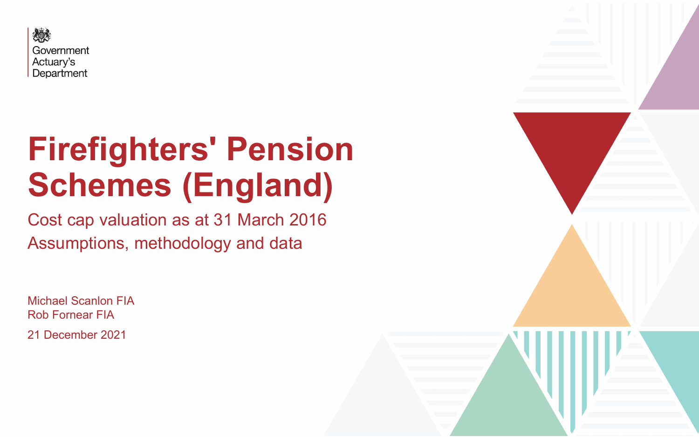

# **Firefighters' Pension Schemes (England)**

Cost cap valuation as at 31 March 2016 Assumptions, methodology and data

Michael Scanlon FIA Rob Fornear FIA 21 December 2021

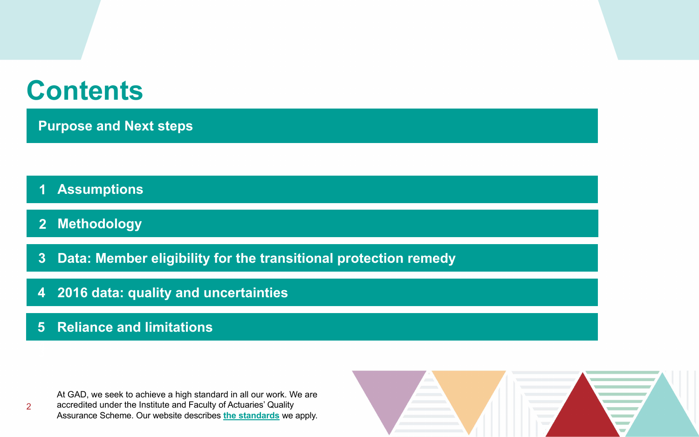# **Contents**

- **[Assumptions](#page-4-0) [1](#page-4-0)**
- **[2](#page-4-0) [Methodology](#page-4-0)**
- **[Data: Member eligibility for the transitional protection remedy](#page-5-0) [3](#page-4-0)**
- **[2016 data: quality and uncertainties](#page-5-0) [4](#page-20-0)**

At GAD, we seek to achieve a high standard in all our work. We are accredited under the Institute and Faculty of Actuaries' Quality Assurance Scheme. Our website describes **[the standards](https://www.gov.uk/government/organisations/government-actuarys-department/about/terms-of-reference)** we apply.



**[Purpose and Next steps](#page-4-0)**



#### **[5](#page-20-0) [Reliance and limitations](#page-5-0)**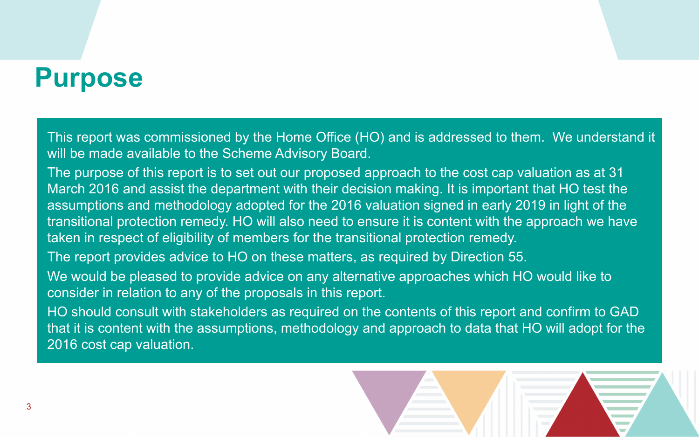# **Purpose**

This report was commissioned by the Home Office (HO) and is addressed to them. We understand it will be made available to the Scheme Advisory Board.

The purpose of this report is to set out our proposed approach to the cost cap valuation as at 31 March 2016 and assist the department with their decision making. It is important that HO test the assumptions and methodology adopted for the 2016 valuation signed in early 2019 in light of the transitional protection remedy. HO will also need to ensure it is content with the approach we have taken in respect of eligibility of members for the transitional protection remedy. The report provides advice to HO on these matters, as required by Direction 55. We would be pleased to provide advice on any alternative approaches which HO would like to consider in relation to any of the proposals in this report. HO should consult with stakeholders as required on the contents of this report and confirm to GAD that it is content with the assumptions, methodology and approach to data that HO will adopt for the 2016 cost cap valuation.



- 
-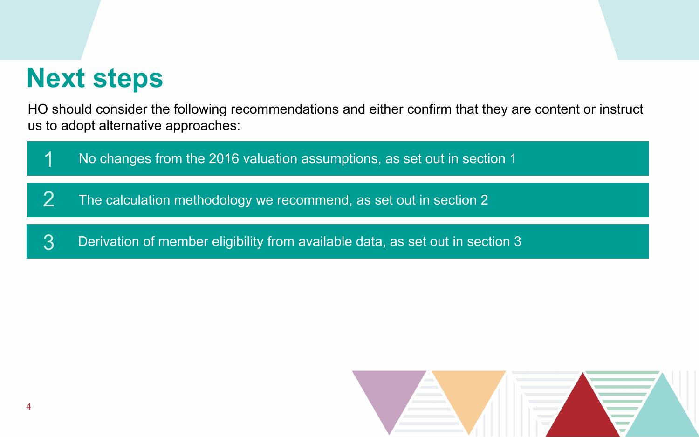# **Next steps**





HO should consider the following recommendations and either confirm that they are content or instruct us to adopt alternative approaches: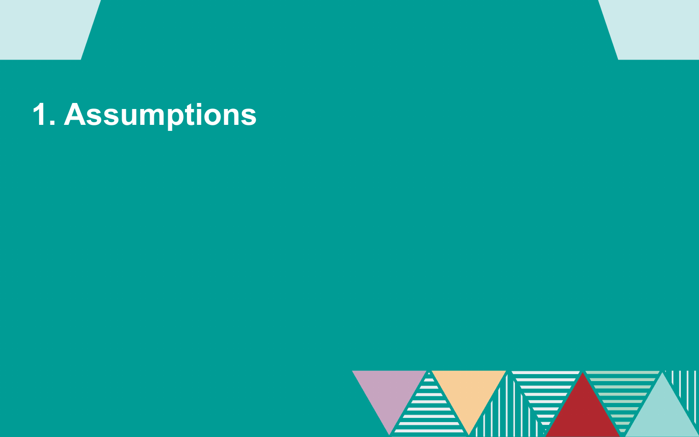# <span id="page-4-0"></span>**1. Assumptions**

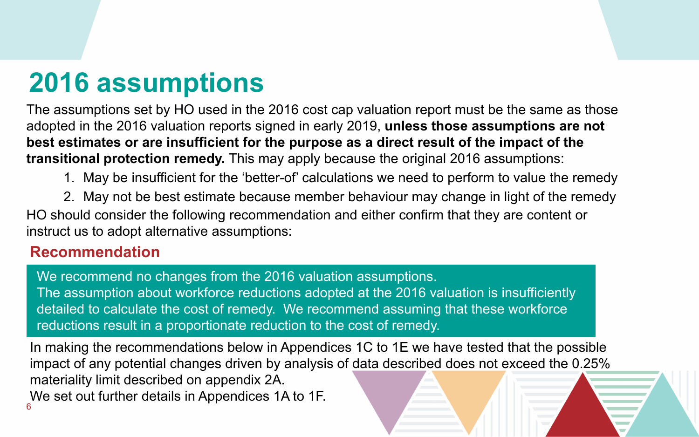The assumptions set by HO used in the 2016 cost cap valuation report must be the same as those adopted in the 2016 valuation reports signed in early 2019, **unless those assumptions are not best estimates or are insufficient for the purpose as a direct result of the impact of the transitional protection remedy.** This may apply because the original 2016 assumptions:

1. May be insufficient for the 'better-of' calculations we need to perform to value the remedy 2. May not be best estimate because member behaviour may change in light of the remedy HO should consider the following recommendation and either confirm that they are content or instruct us to adopt alternative assumptions:

# <span id="page-5-0"></span>**2016 assumptions**

We recommend no changes from the 2016 valuation assumptions. The assumption about workforce reductions adopted at the 2016 valuation is insufficiently detailed to calculate the cost of remedy. We recommend assuming that these workforce reductions result in a proportionate reduction to the cost of remedy.

6 In making the recommendations below in Appendices 1C to 1E we have tested that the possible impact of any potential changes driven by analysis of data described does not exceed the 0.25% materiality limit described on appendix 2A. We set out further details in Appendices 1A to 1F.

#### **Recommendation**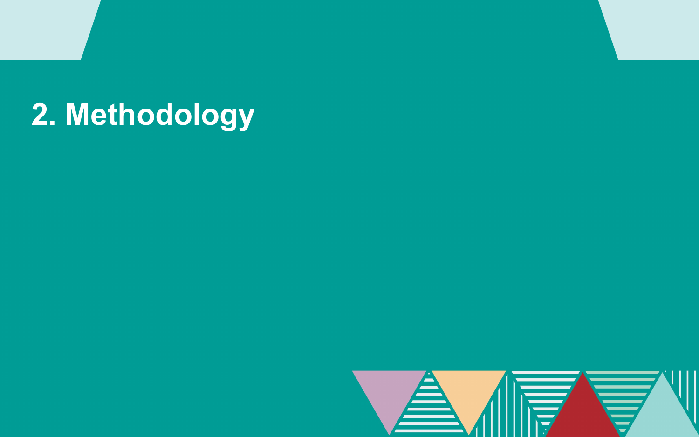# **2. Methodology**

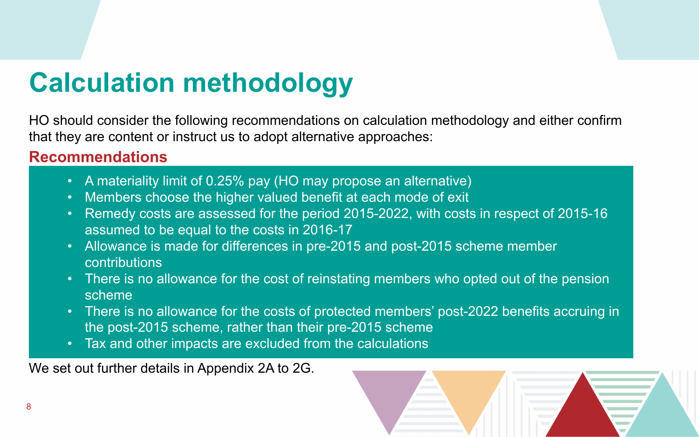HO should consider the following recommendations on calculation methodology and either confirm that they are content or instruct us to adopt alternative approaches:

# **Calculation methodology**

- A materiality limit of 0.25% pay (HO may propose an alternative)
- Members choose the higher valued benefit at each mode of exit
- Remedy costs are assessed for the period 2015-2022, with costs in respect of 2015-16 assumed to be equal to the costs in 2016-17
- Allowance is made for differences in pre-2015 and post-2015 scheme member contributions
- There is no allowance for the cost of reinstating members who opted out of the pension scheme
- There is no allowance for the costs of protected members' post-2022 benefits accruing in the post-2015 scheme, rather than their pre-2015 scheme
- Tax and other impacts are excluded from the calculations

#### **Recommendations**

We set out further details in Appendix 2A to 2G.

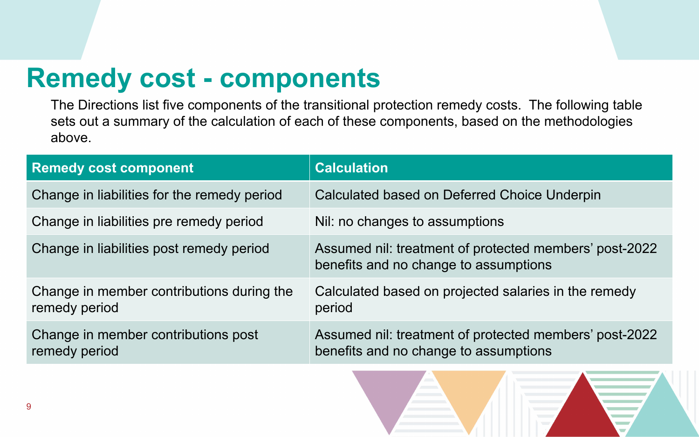# **Remedy cost - components**

| <b>Remedy cost component</b>                               | <b>Calculation</b>                          |
|------------------------------------------------------------|---------------------------------------------|
| Change in liabilities for the remedy period                | <b>Calculated based or</b>                  |
| Change in liabilities pre remedy period                    | Nil: no changes to a                        |
| Change in liabilities post remedy period                   | Assumed nil: treatm<br>benefits and no chai |
| Change in member contributions during the<br>remedy period | <b>Calculated based or</b><br>period        |
| Change in member contributions post<br>remedy period       | Assumed nil: treatm<br>benefits and no chai |



The Directions list five components of the transitional protection remedy costs. The following table sets out a summary of the calculation of each of these components, based on the methodologies above.

- Deferred Choice Underpin
- ssumptions
- ent of protected members' post-2022 nge to assumptions
- projected salaries in the remedy

ent of protected members' post-2022 nge to assumptions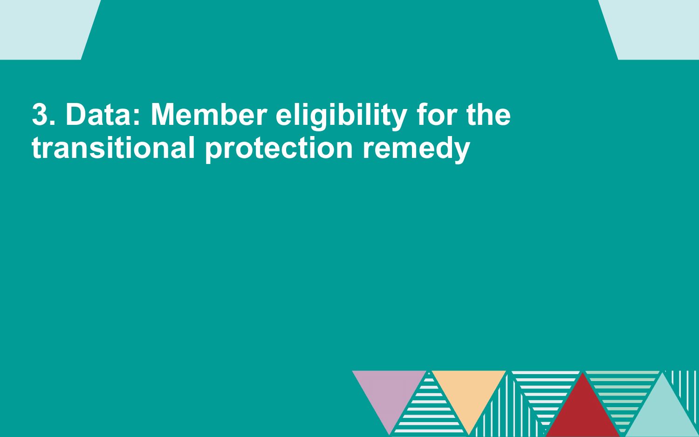# **3. Data: Member eligibility for the transitional protection remedy**

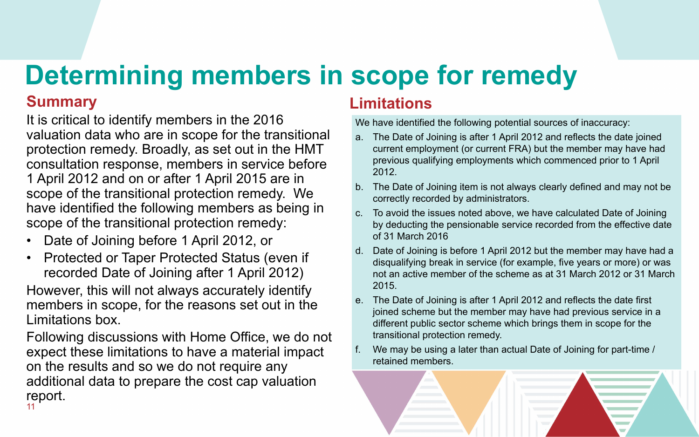#### **Summary**

It is critical to identify members in the 2016 valuation data who are in scope for the transitional protection remedy. Broadly, as set out in the HMT consultation response, members in service before 1 April 2012 and on or after 1 April 2015 are in scope of the transitional protection remedy. We have identified the following members as being in scope of the transitional protection remedy:

- Date of Joining before 1 April 2012, or
- Protected or Taper Protected Status (even if recorded Date of Joining after 1 April 2012)

However, this will not always accurately identify members in scope, for the reasons set out in the Limitations box.

# **Determining members in scope for remedy**

### **Limitations**

We have identified the following potential sources of inaccuracy:

a. The Date of Joining is after 1 April 2012 and reflects the date joined current employment (or current FRA) but the member may have had previous qualifying employments which commenced prior to 1 April

b. The Date of Joining item is not always clearly defined and may not be correctly recorded by administrators.

Following discussions with Home Office, we do not expect these limitations to have a material impact on the results and so we do not require any additional data to prepare the cost cap valuation report. 11

c. To avoid the issues noted above, we have calculated Date of Joining by deducting the pensionable service recorded from the effective date

d. Date of Joining is before 1 April 2012 but the member may have had a disqualifying break in service (for example, five years or more) or was not an active member of the scheme as at 31 March 2012 or 31 March

- 2012.
- 
- of 31 March 2016
- 2015.
- transitional protection remedy.
- retained members.



e. The Date of Joining is after 1 April 2012 and reflects the date first joined scheme but the member may have had previous service in a different public sector scheme which brings them in scope for the

We may be using a later than actual Date of Joining for part-time /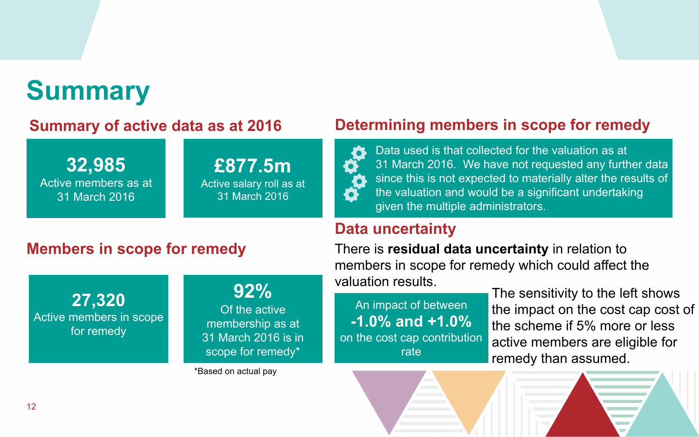Data used is that collected for the valuation as at 31 March 2016. We have not requested any further data since this is not expected to materially alter the results of the valuation and would be a significant undertaking given the multiple administrators.

#### **[Determining members in scope for remedy](#page-16-0)**



# **Summary**

**32,985** Active members as at 31 March 2016

### **[Members in scope for remedy](#page-16-0)**

**27,320** Active members in scope for remedy

**92%**

Of the active membership as at 31 March 2016 is in scope for remedy\*

An impact of between **-1.0% and +1.0%** on the cost cap contribution rate



#### **[Summary of active data as at 2016](#page-17-0)**

**£877.5m**

Active salary roll as at

31 March 2016

\*Based on actual pay

### **[Data uncertainty](#page-17-0)**

There is **residual data uncertainty** in relation to members in scope for remedy which could affect the valuation results.

The sensitivity to the left shows the impact on the cost cap cost of the scheme if 5% more or less active members are eligible for remedy than assumed.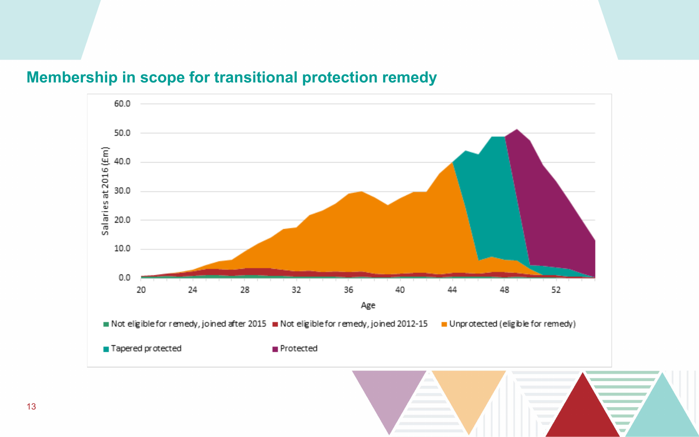#### **Membership in scope for transitional protection remedy**



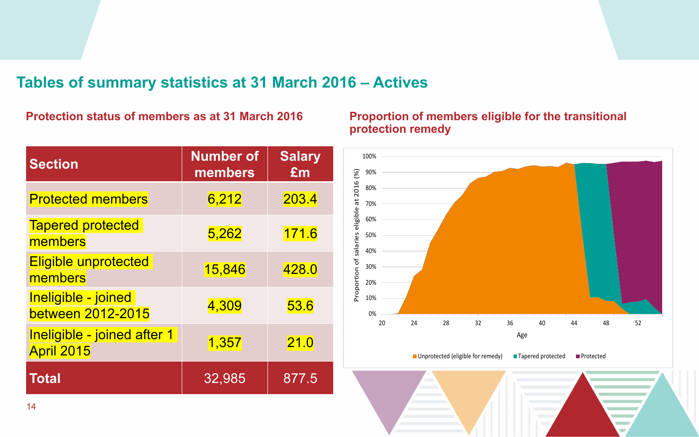#### **Tables of summary statistics at 31 March 2016 – Actives**

#### **Protection status of members as at 31 March 2016**

| <b>Section</b>                                   | <b>Number of</b><br>members | <b>Salary</b><br>£m |
|--------------------------------------------------|-----------------------------|---------------------|
| <b>Protected members</b>                         | 6,212                       | 203.4               |
| <b>Tapered protected</b><br>members              | 5,262                       | 171.6               |
| <b>Eligible unprotected</b><br>members           | 15,846                      | 428.0               |
| Ineligible - joined<br>between 2012-2015         | 4,309                       | 53.6                |
| Ineligible - joined after 1<br><b>April 2015</b> | 1,357                       | 21.0                |
| <b>Total</b>                                     | 32,985                      | 877.5               |

#### **Proportion of members eligible for the transitional protection remedy**



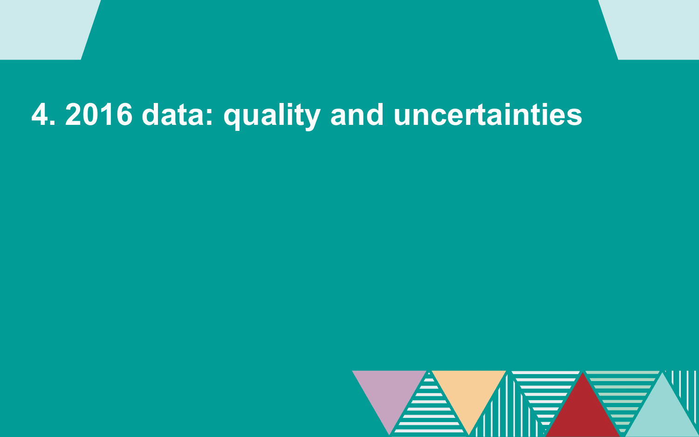# **4. 2016 data: quality and uncertainties**

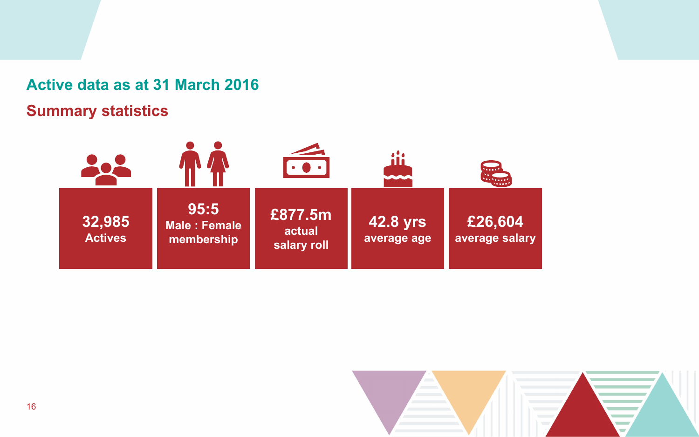### **Active data as at 31 March 2016 Summary statistics**





#### **£26,604 average salary**

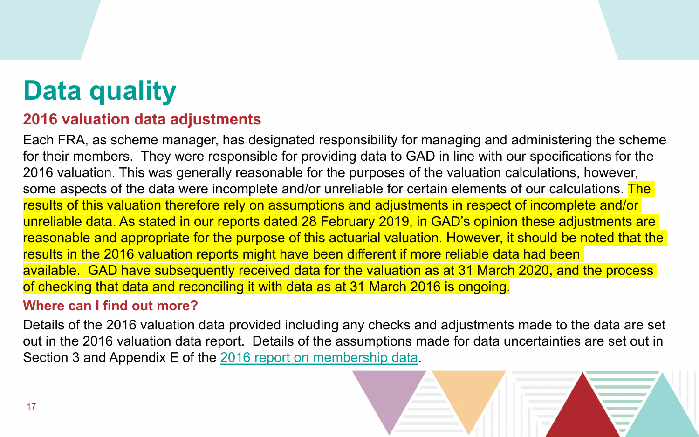# <span id="page-16-0"></span>**Data quality**

#### **2016 valuation data adjustments**

Each FRA, as scheme manager, has designated responsibility for managing and administering the scheme for their members. They were responsible for providing data to GAD in line with our specifications for the 2016 valuation. This was generally reasonable for the purposes of the valuation calculations, however, some aspects of the data were incomplete and/or unreliable for certain elements of our calculations. The results of this valuation therefore rely on assumptions and adjustments in respect of incomplete and/or unreliable data. As stated in our reports dated 28 February 2019, in GAD's opinion these adjustments are reasonable and appropriate for the purpose of this actuarial valuation. However, it should be noted that the results in the 2016 valuation reports might have been different if more reliable data had been available. GAD have subsequently received data for the valuation as at 31 March 2020, and the process of checking that data and reconciling it with data as at 31 March 2016 is ongoing.

#### **Where can I find out more?**

Details of the 2016 valuation data provided including any checks and adjustments made to the data are set out in the 2016 valuation data report. Details of the assumptions made for data uncertainties are set out in Section 3 and Appendix E of the [2016 report on membership data](https://assets.publishing.service.gov.uk/government/uploads/system/uploads/attachment_data/file/818779/Fire_England_Data_report_final_28_Feb_2019.pdf).

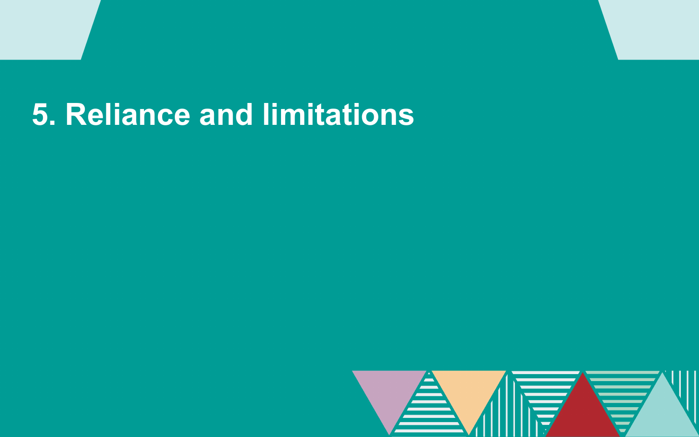# <span id="page-17-0"></span>**5. Reliance and limitations**

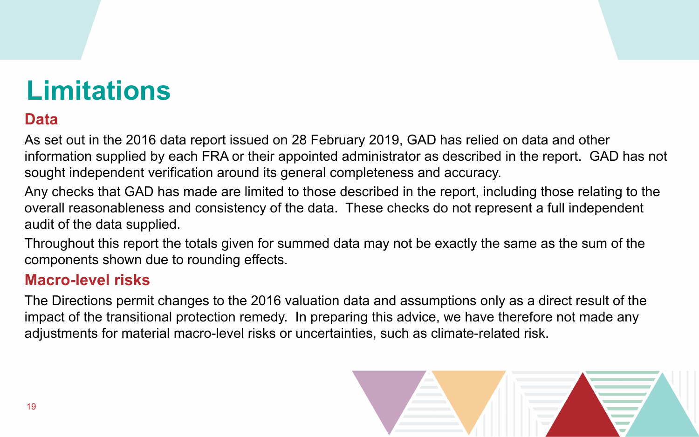# **Limitations**

### **Data**

As set out in the 2016 data report issued on 28 February 2019, GAD has relied on data and other information supplied by each FRA or their appointed administrator as described in the report. GAD has not sought independent verification around its general completeness and accuracy. Any checks that GAD has made are limited to those described in the report, including those relating to the overall reasonableness and consistency of the data. These checks do not represent a full independent audit of the data supplied.

Throughout this report the totals given for summed data may not be exactly the same as the sum of the components shown due to rounding effects.

#### **Macro-level risks**

The Directions permit changes to the 2016 valuation data and assumptions only as a direct result of the impact of the transitional protection remedy. In preparing this advice, we have therefore not made any adjustments for material macro-level risks or uncertainties, such as climate-related risk.



- 
- 
- 
- 
-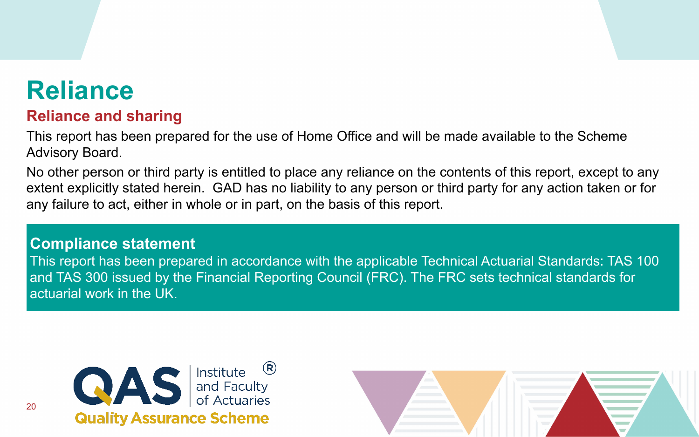#### **Compliance statement**

This report has been prepared in accordance with the applicable Technical Actuarial Standards: TAS 100 and TAS 300 issued by the Financial Reporting Council (FRC). The FRC sets technical standards for actuarial work in the UK.





## **Reliance**

#### **Reliance and sharing**

This report has been prepared for the use of Home Office and will be made available to the Scheme Advisory Board.

No other person or third party is entitled to place any reliance on the contents of this report, except to any extent explicitly stated herein. GAD has no liability to any person or third party for any action taken or for any failure to act, either in whole or in part, on the basis of this report.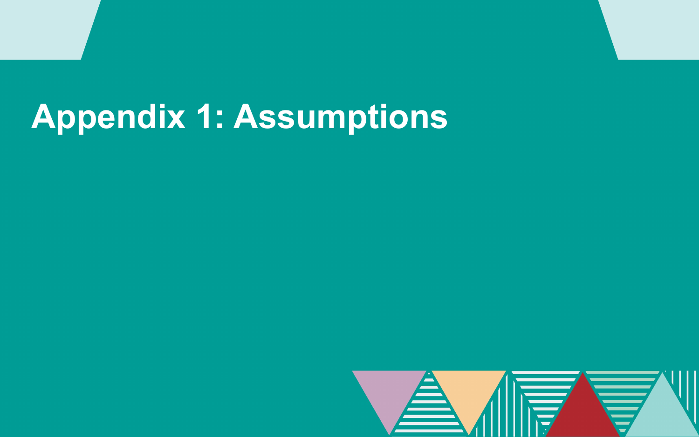# <span id="page-20-0"></span>**Appendix 1: Assumptions**











































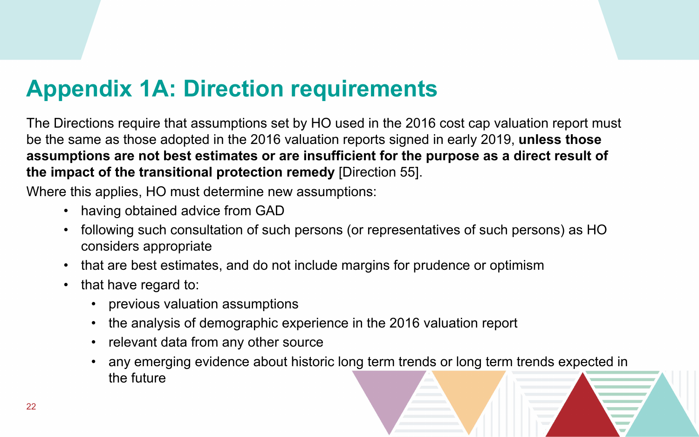## **Appendix 1A: Direction requirements**

The Directions require that assumptions set by HO used in the 2016 cost cap valuation report must be the same as those adopted in the 2016 valuation reports signed in early 2019, **unless those assumptions are not best estimates or are insufficient for the purpose as a direct result of the impact of the transitional protection remedy** [Direction 55].

Where this applies, HO must determine new assumptions:

- having obtained advice from GAD
- following such consultation of such persons (or representatives of such persons) as HO considers appropriate
- that are best estimates, and do not include margins for prudence or optimism
- that have regard to:
	- previous valuation assumptions
	- the analysis of demographic experience in the 2016 valuation report
	- relevant data from any other source
	- any emerging evidence about historic long term trends or long term trends expected in the future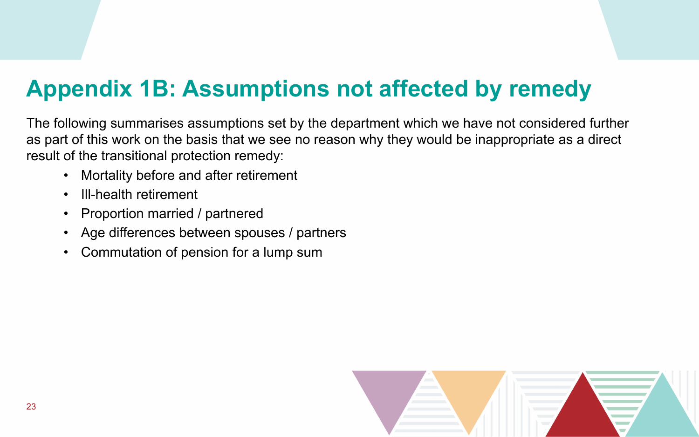## **Appendix 1B: Assumptions not affected by remedy**

The following summarises assumptions set by the department which we have not considered further as part of this work on the basis that we see no reason why they would be inappropriate as a direct result of the transitional protection remedy:

- Mortality before and after retirement
- Ill-health retirement
- Proportion married / partnered
- Age differences between spouses / partners
- Commutation of pension for a lump sum

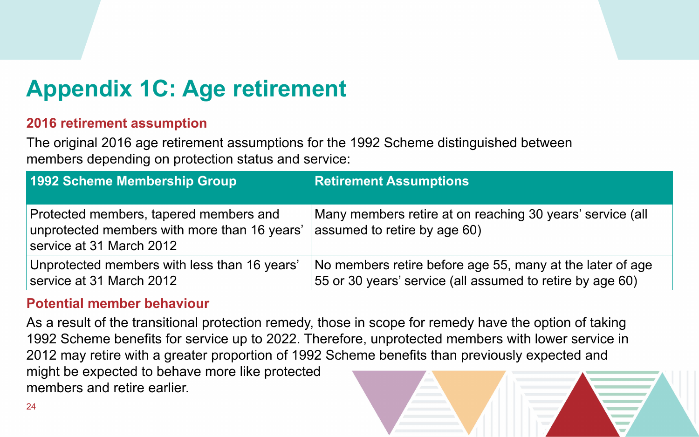## **Appendix 1C: Age retirement**

#### **2016 retirement assumption**

The original 2016 age retirement assumptions for the 1992 Scheme distinguished between members depending on protection status and service:

#### **Potential member behaviour**

As a result of the transitional protection remedy, those in scope for remedy have the option of taking 1992 Scheme benefits for service up to 2022. Therefore, unprotected members with lower service in 2012 may retire with a greater proportion of 1992 Scheme benefits than previously expected and might be expected to behave more like protected members and retire earlier.

at on reaching 30 years' service (all age  $60)$ 

efore age 55, many at the later of age the (all assumed to retire by age 60).



| <b>1992 Scheme Membership Group</b>                                                                                | <b>Retirement Assumptions</b>                            |
|--------------------------------------------------------------------------------------------------------------------|----------------------------------------------------------|
| Protected members, tapered members and<br>unprotected members with more than 16 years'<br>service at 31 March 2012 | Many members retire at or<br>assumed to retire by age 6  |
| Unprotected members with less than 16 years'<br>service at 31 March 2012                                           | No members retire before<br>55 or 30 years' service (all |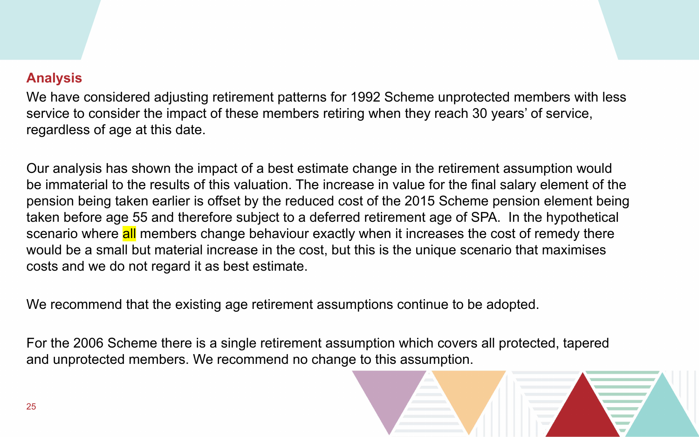#### **Analysis**

We have considered adjusting retirement patterns for 1992 Scheme unprotected members with less service to consider the impact of these members retiring when they reach 30 years' of service, regardless of age at this date.

Our analysis has shown the impact of a best estimate change in the retirement assumption would be immaterial to the results of this valuation. The increase in value for the final salary element of the pension being taken earlier is offset by the reduced cost of the 2015 Scheme pension element being taken before age 55 and therefore subject to a deferred retirement age of SPA. In the hypothetical scenario where all members change behaviour exactly when it increases the cost of remedy there would be a small but material increase in the cost, but this is the unique scenario that maximises costs and we do not regard it as best estimate.

We recommend that the existing age retirement assumptions continue to be adopted.

For the 2006 Scheme there is a single retirement assumption which covers all protected, tapered and unprotected members. We recommend no change to this assumption.

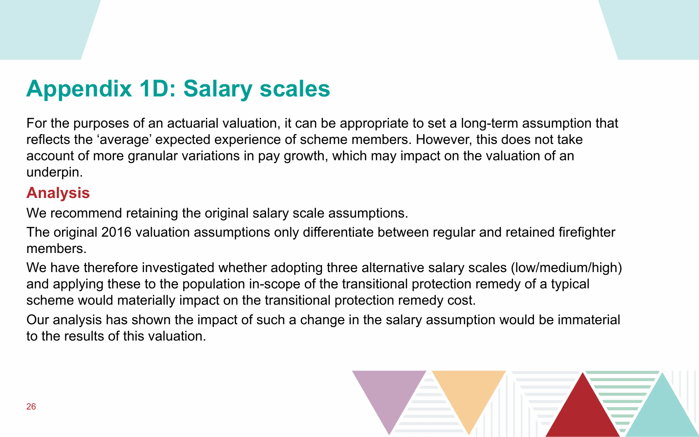### **Appendix 1D: Salary scales**

For the purposes of an actuarial valuation, it can be appropriate to set a long-term assumption that reflects the 'average' expected experience of scheme members. However, this does not take account of more granular variations in pay growth, which may impact on the valuation of an underpin.

#### **Analysis**

We recommend retaining the original salary scale assumptions.

The original 2016 valuation assumptions only differentiate between regular and retained firefighter members.

We have therefore investigated whether adopting three alternative salary scales (low/medium/high) and applying these to the population in-scope of the transitional protection remedy of a typical scheme would materially impact on the transitional protection remedy cost. Our analysis has shown the impact of such a change in the salary assumption would be immaterial to the results of this valuation.

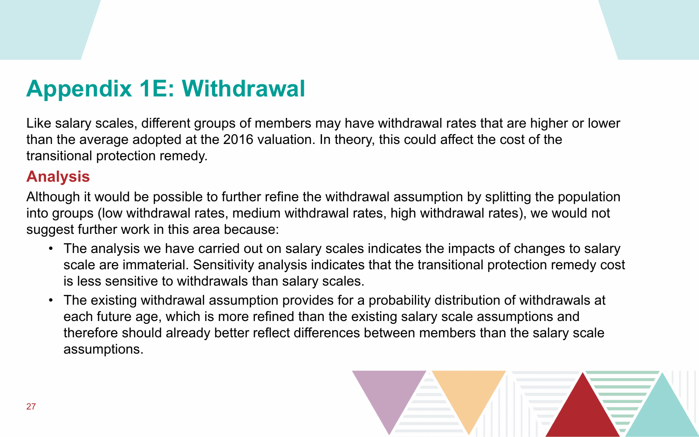## **Appendix 1E: Withdrawal**

Like salary scales, different groups of members may have withdrawal rates that are higher or lower than the average adopted at the 2016 valuation. In theory, this could affect the cost of the transitional protection remedy.

### **Analysis**

Although it would be possible to further refine the withdrawal assumption by splitting the population into groups (low withdrawal rates, medium withdrawal rates, high withdrawal rates), we would not suggest further work in this area because:

- The analysis we have carried out on salary scales indicates the impacts of changes to salary scale are immaterial. Sensitivity analysis indicates that the transitional protection remedy cost is less sensitive to withdrawals than salary scales.
- The existing withdrawal assumption provides for a probability distribution of withdrawals at each future age, which is more refined than the existing salary scale assumptions and therefore should already better reflect differences between members than the salary scale assumptions.

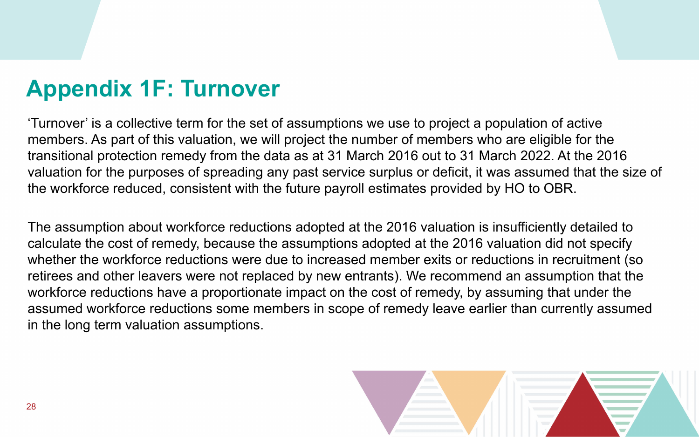### **Appendix 1F: Turnover**

'Turnover' is a collective term for the set of assumptions we use to project a population of active members. As part of this valuation, we will project the number of members who are eligible for the transitional protection remedy from the data as at 31 March 2016 out to 31 March 2022. At the 2016 valuation for the purposes of spreading any past service surplus or deficit, it was assumed that the size of the workforce reduced, consistent with the future payroll estimates provided by HO to OBR.

The assumption about workforce reductions adopted at the 2016 valuation is insufficiently detailed to calculate the cost of remedy, because the assumptions adopted at the 2016 valuation did not specify whether the workforce reductions were due to increased member exits or reductions in recruitment (so retirees and other leavers were not replaced by new entrants). We recommend an assumption that the workforce reductions have a proportionate impact on the cost of remedy, by assuming that under the assumed workforce reductions some members in scope of remedy leave earlier than currently assumed in the long term valuation assumptions.

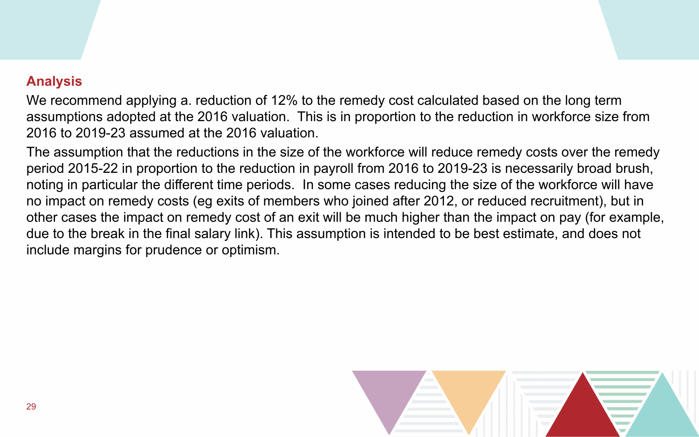#### **Analysis**

We recommend applying a. reduction of 12% to the remedy cost calculated based on the long term assumptions adopted at the 2016 valuation. This is in proportion to the reduction in workforce size from 2016 to 2019-23 assumed at the 2016 valuation.

The assumption that the reductions in the size of the workforce will reduce remedy costs over the remedy period 2015-22 in proportion to the reduction in payroll from 2016 to 2019-23 is necessarily broad brush, noting in particular the different time periods. In some cases reducing the size of the workforce will have no impact on remedy costs (eg exits of members who joined after 2012, or reduced recruitment), but in other cases the impact on remedy cost of an exit will be much higher than the impact on pay (for example, due to the break in the final salary link). This assumption is intended to be best estimate, and does not include margins for prudence or optimism.

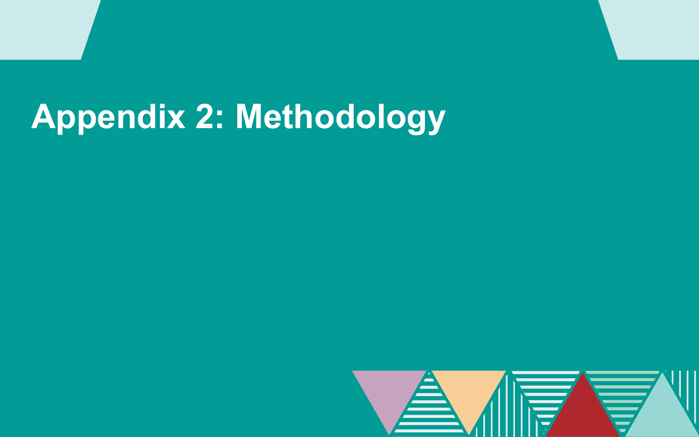# **Appendix 2: Methodology**

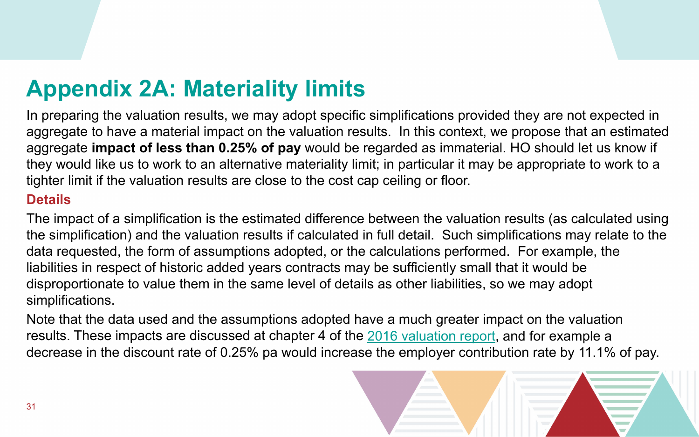## **Appendix 2A: Materiality limits**

In preparing the valuation results, we may adopt specific simplifications provided they are not expected in aggregate to have a material impact on the valuation results. In this context, we propose that an estimated aggregate **impact of less than 0.25% of pay** would be regarded as immaterial. HO should let us know if they would like us to work to an alternative materiality limit; in particular it may be appropriate to work to a tighter limit if the valuation results are close to the cost cap ceiling or floor. **Details**

The impact of a simplification is the estimated difference between the valuation results (as calculated using the simplification) and the valuation results if calculated in full detail. Such simplifications may relate to the data requested, the form of assumptions adopted, or the calculations performed. For example, the liabilities in respect of historic added years contracts may be sufficiently small that it would be disproportionate to value them in the same level of details as other liabilities, so we may adopt simplifications.

Note that the data used and the assumptions adopted have a much greater impact on the valuation results. These impacts are discussed at chapter 4 of the [2016 valuation report,](https://assets.publishing.service.gov.uk/government/uploads/system/uploads/attachment_data/file/818798/Fire_England_Valuation_report_Final_28_Feb_2019.pdf) and for example a decrease in the discount rate of 0.25% pa would increase the employer contribution rate by 11.1% of pay.

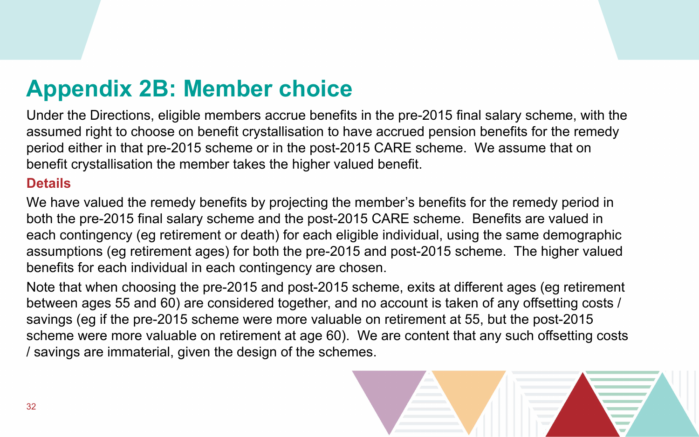### **Appendix 2B: Member choice**

Under the Directions, eligible members accrue benefits in the pre-2015 final salary scheme, with the assumed right to choose on benefit crystallisation to have accrued pension benefits for the remedy period either in that pre-2015 scheme or in the post-2015 CARE scheme. We assume that on benefit crystallisation the member takes the higher valued benefit.

#### **Details**

We have valued the remedy benefits by projecting the member's benefits for the remedy period in both the pre-2015 final salary scheme and the post-2015 CARE scheme. Benefits are valued in each contingency (eg retirement or death) for each eligible individual, using the same demographic assumptions (eg retirement ages) for both the pre-2015 and post-2015 scheme. The higher valued benefits for each individual in each contingency are chosen.

Note that when choosing the pre-2015 and post-2015 scheme, exits at different ages (eg retirement between ages 55 and 60) are considered together, and no account is taken of any offsetting costs / savings (eg if the pre-2015 scheme were more valuable on retirement at 55, but the post-2015 scheme were more valuable on retirement at age 60). We are content that any such offsetting costs / savings are immaterial, given the design of the schemes.

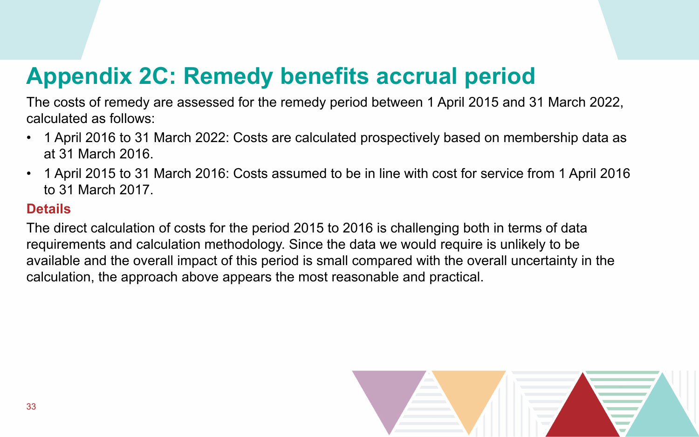# **Appendix 2C: Remedy benefits accrual period**

The costs of remedy are assessed for the remedy period between 1 April 2015 and 31 March 2022, calculated as follows:

- 1 April 2016 to 31 March 2022: Costs are calculated prospectively based on membership data as at 31 March 2016.
- 1 April 2015 to 31 March 2016: Costs assumed to be in line with cost for service from 1 April 2016 to 31 March 2017.

#### **Details**

The direct calculation of costs for the period 2015 to 2016 is challenging both in terms of data requirements and calculation methodology. Since the data we would require is unlikely to be available and the overall impact of this period is small compared with the overall uncertainty in the calculation, the approach above appears the most reasonable and practical.

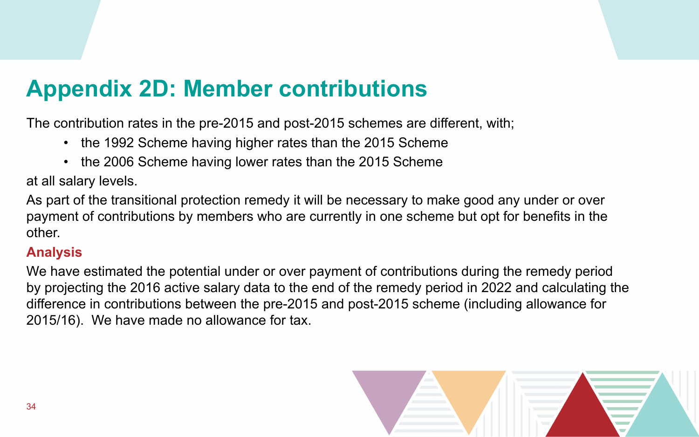## **Appendix 2D: Member contributions**

The contribution rates in the pre-2015 and post-2015 schemes are different, with;

- the 1992 Scheme having higher rates than the 2015 Scheme
- the 2006 Scheme having lower rates than the 2015 Scheme

at all salary levels.

As part of the transitional protection remedy it will be necessary to make good any under or over payment of contributions by members who are currently in one scheme but opt for benefits in the other.

#### **Analysis**

We have estimated the potential under or over payment of contributions during the remedy period by projecting the 2016 active salary data to the end of the remedy period in 2022 and calculating the difference in contributions between the pre-2015 and post-2015 scheme (including allowance for 2015/16). We have made no allowance for tax.

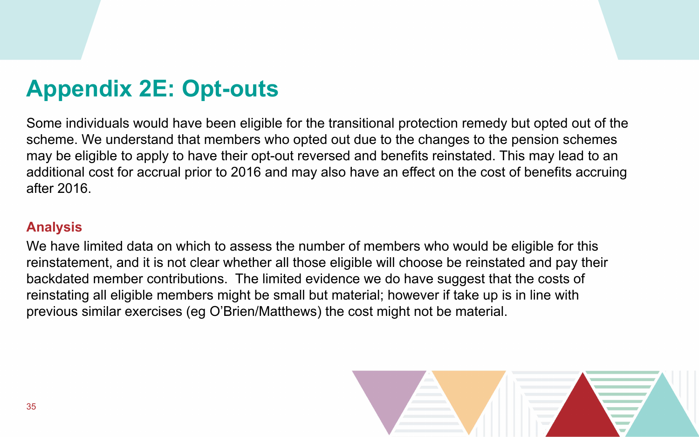### **Appendix 2E: Opt-outs**

Some individuals would have been eligible for the transitional protection remedy but opted out of the scheme. We understand that members who opted out due to the changes to the pension schemes may be eligible to apply to have their opt-out reversed and benefits reinstated. This may lead to an additional cost for accrual prior to 2016 and may also have an effect on the cost of benefits accruing after 2016.

#### **Analysis**

We have limited data on which to assess the number of members who would be eligible for this reinstatement, and it is not clear whether all those eligible will choose be reinstated and pay their backdated member contributions. The limited evidence we do have suggest that the costs of reinstating all eligible members might be small but material; however if take up is in line with previous similar exercises (eg O'Brien/Matthews) the cost might not be material.

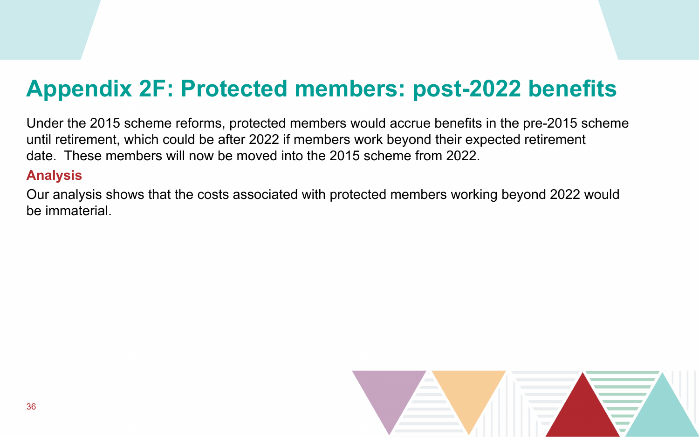### **Appendix 2F: Protected members: post-2022 benefits**

Under the 2015 scheme reforms, protected members would accrue benefits in the pre-2015 scheme until retirement, which could be after 2022 if members work beyond their expected retirement date. These members will now be moved into the 2015 scheme from 2022. **Analysis**

Our analysis shows that the costs associated with protected members working beyond 2022 would be immaterial.